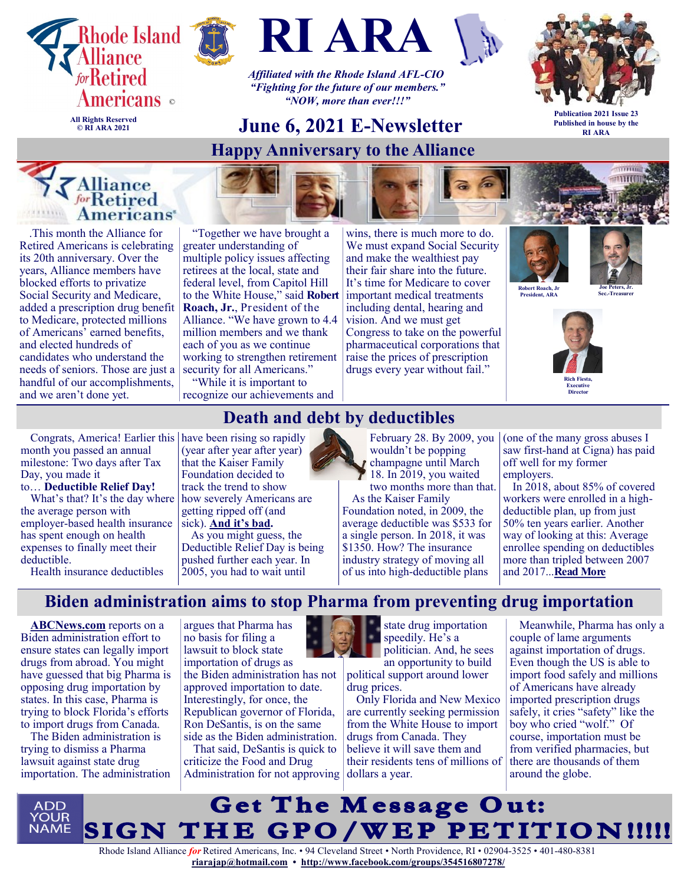







*Affiliated with the Rhode Island AFL-CIO "Fighting for the future of our members." "NOW, more than ever!!!"*

# **June 6, 2021 E-Newsletter**

**Happy Anniversary to the Alliance**



**Publication 2021 Issue 23 Published in house by the RI ARA**

# **Experience**

**© RI ARA 2021**



"Together we have brought a greater understanding of multiple policy issues affecting retirees at the local, state and federal level, from Capitol Hill to the White House," said **Robert Roach, Jr.**, President of the Alliance. "We have grown to 4.4 million members and we thank each of you as we continue working to strengthen retirement security for all Americans."

"While it is important to recognize our achievements and wins, there is much more to do. We must expand Social Security and make the wealthiest pay their fair share into the future. It's time for Medicare to cover important medical treatments including dental, hearing and vision. And we must get Congress to take on the powerful pharmaceutical corporations that raise the prices of prescription drugs every year without fail."

> February 28. By 2009, you wouldn't be popping champagne until March 18. In 2019, you waited two months more than that.

As the Kaiser Family Foundation noted, in 2009, the average deductible was \$533 for a single person. In 2018, it was \$1350. How? The insurance industry strategy of moving all of us into high-deductible plans





 $\frac{1}{2}$ 

**Robert Roach, Jr President, ARA**

**Joe Peters, Jr. Sec.-Treasurer** 



(one of the many gross abuses I saw first-hand at Cigna) has paid

In 2018, about 85% of covered workers were enrolled in a highdeductible plan, up from just 50% ten years earlier. Another way of looking at this: Average enrollee spending on deductibles more than tripled between 2007

off well for my former

and 2017...**[Read More](https://justcareusa.org/death-and-debt-by-deductibles/)**

employers.

Congrats, America! Earlier this have been rising so rapidly month you passed an annual milestone: Two days after Tax Day, you made it

to… **Deductible Relief Day!**

What's that? It's the day where the average person with employer-based health insurance has spent enough on health expenses to finally meet their deductible.

Health insurance deductibles

### **Death and debt by deductibles**

(year after year after year) that the Kaiser Family Foundation decided to track the trend to show how severely Americans are getting ripped off (and sick). **[And it's bad.](https://tarbell.us4.list-manage.com/track/click?u=a171a776f877715f69a407acd&id=cd9d64601a&e=67128cbf1f)**

As you might guess, the Deductible Relief Day is being pushed further each year. In

2005, you had to wait until



state drug importation speedily. He's a politician. And, he sees an opportunity to build

political support around lower drug prices.

Only Florida and New Mexico are currently seeking permission from the White House to import drugs from Canada. They believe it will save them and their residents tens of millions of

Meanwhile, Pharma has only a couple of lame arguments against importation of drugs. Even though the US is able to import food safely and millions of Americans have already imported prescription drugs safely, it cries "safety" like the boy who cried "wolf." Of course, importation must be from verified pharmacies, but there are thousands of them

# **Biden administration aims to stop Pharma from preventing drug importation**

**[ABCNews.com](https://abcnews.go.com/Health/wireStory/white-house-asks-court-dismiss-lawsuit-drug-imports-77996896)** reports on a Biden administration effort to ensure states can legally import drugs from abroad. You might have guessed that big Pharma is opposing drug importation by states. In this case, Pharma is trying to block Florida's efforts to import drugs from Canada.

The Biden administration is trying to dismiss a Pharma lawsuit against state drug importation. The administration

argues that Pharma has no basis for filing a lawsuit to block state importation of drugs as the Biden administration has not approved importation to date. Interestingly, for once, the Republican governor of Florida, Ron DeSantis, is on the same side as the Biden administration.

That said, DeSantis is quick to criticize the Food and Drug Administration for not approving dollars a year.



around the globe.

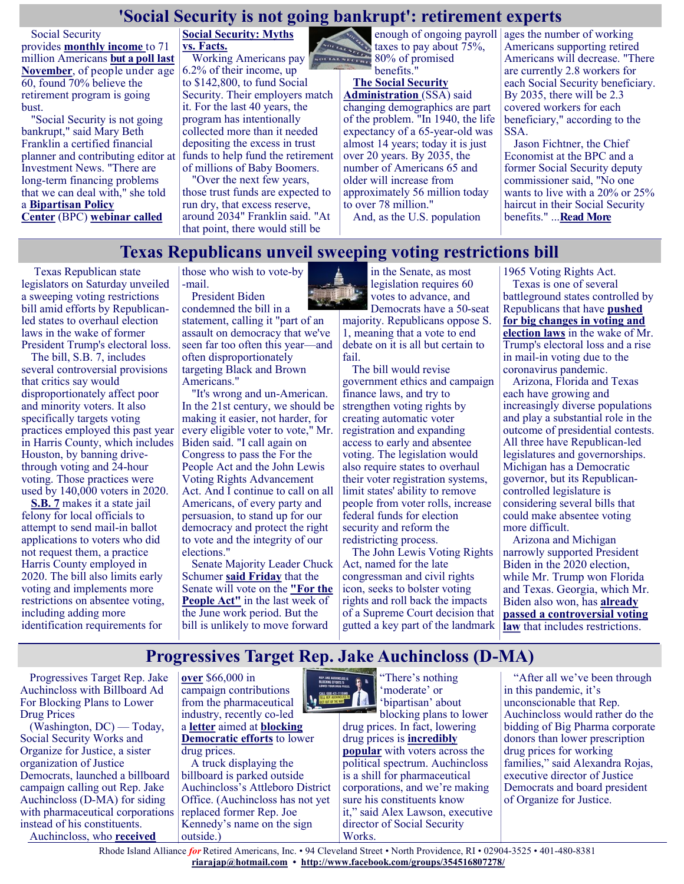#### **'Social Security is not going bankrupt': retirement experts**

Social Security provides **[monthly income](https://www.ssa.gov/agency/performance/materials/2020/SSA_FY_2019-2021_Annual_Performance_Report_020520_FINAL-COSS_Signed.pdf)** to 71 [million](https://www.ssa.gov/agency/performance/materials/2020/SSA_FY_2019-2021_Annual_Performance_Report_020520_FINAL-COSS_Signed.pdf) Americans **but a [poll last](https://money.yahoo.com/social-security-ponzi-scheme-180625728.html)  [November](https://money.yahoo.com/social-security-ponzi-scheme-180625728.html)**, of people under age 60, found 70% believe the retirement program is going bust.

"Social Security is not going bankrupt," said Mary Beth Franklin a certified financial planner and contributing editor at I[nvestment News.](https://www.investmentnews.com/) "There are long-term financing problems that we can deal with," she told a **[Bipartisan Policy](https://bipartisanpolicy.org/)  [Center](https://bipartisanpolicy.org/)** (BPC) **[webinar called](https://news.yahoo.com/social-security-myths-vs-facts-100000178.html)** 

#### **[Social Security: Myths](https://news.yahoo.com/social-security-myths-vs-facts-100000178.html)  [vs. Facts.](https://news.yahoo.com/social-security-myths-vs-facts-100000178.html)**

Working Americans pay 80% of promised 6.2% of their income, up to \$142,800, to fund Social Security. Their employers match it. For the last 40 years, the program has intentionally collected more than it needed depositing the excess in trust funds to help fund the retirement of millions of Baby Boomers.

"Over the next few years, those trust funds are expected to run dry, that excess reserve, around 2034" Franklin said. "At that point, there would still be

enough of ongoing payroll ages the number of working taxes to pay about 75%, benefits."

#### **[The Social Security](https://www.ssa.gov/news/press/factsheets/basicfact-alt.pdf)**

**[Administration](https://www.ssa.gov/news/press/factsheets/basicfact-alt.pdf)** (SSA) said changing demographics are part of the problem. "In 1940, the life expectancy of a 65-year-old was almost 14 years; today it is just over 20 years. By 2035, the number of Americans 65 and older will increase from approximately 56 million today to over 78 million."

And, as the U.S. population

Americans supporting retired Americans will decrease. "There are currently 2.8 workers for each Social Security beneficiary. By 2035, there will be 2.3 covered workers for each beneficiary," according to the SSA.

Jason Fichtner, the Chief Economist at the BPC and a former Social Security deputy commissioner said, "No one wants to live with a 20% or 25% haircut in their Social Security benefits." ...**[Read More](https://www.msn.com/en-us/money/news/social-security-is-not-going-bankrupt-retirement-experts/ar-AAKtKsP?ocid=SK2DDHP)**

#### **Texas Republicans unveil sweeping voting restrictions bill**

Texas Republican state legislators on Saturday unveiled a sweeping voting restrictions bill amid efforts by Republicanled states to overhaul election laws in the wake of former President Trump's electoral loss.

The bill, [S.B. 7,](https://www.cbsnews.com/news/texas-voting-law-house-passes-sweeping-republican-backed-bill/?ftag=MSF0951a18) includes several controversial provisions that critics say would disproportionately affect poor and minority voters. It also specifically targets voting practices employed this past year in Harris County, which includes Houston, by banning drivethrough voting and 24-hour voting. Those practices were used by 140,000 voters in 2020.

**[S.B. 7](https://lrl.texas.gov/scanned/87ccrs/sb0007.pdf#navpanes=0?ftag=MSF0951a18)** makes it a state jail felony for local officials to attempt to send mail-in ballot applications to voters who did not request them, a practice Harris County employed in 2020. The bill also limits early voting and implements more restrictions on absentee voting, including adding more identification requirements for those who wish to vote-by -mail.

President Biden condemned the bill in a

statement, calling it "part of an assault on democracy that we've seen far too often this year—and often disproportionately targeting Black and Brown Americans."

"It's wrong and un-American. In the 21st century, we should be making it easier, not harder, for every eligible voter to vote," Mr. Biden said. "I call again on Congress to pass the For the People Act and the John Lewis Voting Rights Advancement Act. And I continue to call on all Americans, of every party and persuasion, to stand up for our democracy and protect the right to vote and the integrity of our elections."

Senate Majority Leader Chuck Schumer **[said Friday](https://www.cbsnews.com/news/voting-rights-bill-for-the-people-act-senate-june/?ftag=MSF0951a18)** that the Senate will vote on the **["For the](https://www.cbsnews.com/news/voting-bill-for-the-peopl-eact-senate-markup/?ftag=MSF0951a18)  [People Act"](https://www.cbsnews.com/news/voting-bill-for-the-peopl-eact-senate-markup/?ftag=MSF0951a18)** in the last week of the June work period. But the bill is unlikely to move forward

in the Senate, as most legislation requires 60 votes to advance, and Democrats have a 50-seat majority. Republicans oppose S. 1, meaning that a vote to end debate on it is all but certain to fail.

The bill would revise government ethics and campaign finance laws, and try to strengthen voting rights by creating automatic voter registration and expanding access to early and absentee voting. The legislation would also require states to overhaul their voter registration systems, limit states' ability to remove people from voter rolls, increase federal funds for election security and reform the redistricting process.

The John Lewis Voting Rights Act, named for the late congressman and civil rights icon, seeks to bolster voting rights and roll back the impacts of a Supreme Court decision that gutted a key part of the landmark 1965 Voting Rights Act.

Texas is one of several battleground states controlled by Republicans that have **[pushed](https://www.cbsnews.com/news/voting-laws-georgia-texas-arizona-florida/?ftag=MSF0951a18)  [for big changes in voting and](https://www.cbsnews.com/news/voting-laws-georgia-texas-arizona-florida/?ftag=MSF0951a18)  [election laws](https://www.cbsnews.com/news/voting-laws-georgia-texas-arizona-florida/?ftag=MSF0951a18)** in the wake of Mr. Trump's electoral loss and a rise in mail-in voting due to the coronavirus pandemic.

Arizona, Florida and Texas each have growing and increasingly diverse populations and play a substantial role in the outcome of presidential contests. All three have Republican-led legislatures and governorships. Michigan has a Democratic governor, but its Republicancontrolled legislature is considering several bills that could make absentee voting more difficult.

Arizona and Michigan narrowly supported President Biden in the 2020 election, while Mr. Trump won Florida and Texas. Georgia, which Mr. Biden also won, has **[already](https://www.cbsnews.com/news/georgia-voting-law-9-facts/?ftag=MSF0951a18)  [passed a controversial voting](https://www.cbsnews.com/news/georgia-voting-law-9-facts/?ftag=MSF0951a18)  [law](https://www.cbsnews.com/news/georgia-voting-law-9-facts/?ftag=MSF0951a18)** that includes restrictions.

### **Progressives Target Rep. Jake Auchincloss (D-MA)**

Progressives Target Rep. Jake Auchincloss with Billboard Ad For Blocking Plans to Lower Drug Prices

(Washington, DC) — Today, Social Security Works and Organize for Justice, a sister organization of Justice Democrats, launched a billboard campaign calling out Rep. Jake Auchincloss (D-MA) for siding with pharmaceutical corporations instead of his constituents.

Auchincloss, who **[received](https://thebrick.house/dems-signaling-opposition-to-pelosis-drug-pricing-bill-got-2-5x-more-pharma-money/)** 



A truck displaying the billboard is parked outside Auchincloss's Attleboro District Office. (Auchincloss has not yet replaced former Rep. Joe Kennedy's name on the sign outside.)



"There's nothing 'moderate' or 'bipartisan' about

blocking plans to lower drug prices. In fact, lowering drug prices is **[incredibly](https://crooked.com/articles/families-jobs-plans-popular/)  [popular](https://crooked.com/articles/families-jobs-plans-popular/)** with voters across the political spectrum. Auchincloss is a shill for pharmaceutical corporations, and we're making sure his constituents know it," said Alex Lawson, executive director of Social Security Works.

"After all we've been through in this pandemic, it's unconscionable that Rep. Auchincloss would rather do the bidding of Big Pharma corporate donors than lower prescription drug prices for working families," said Alexandra Rojas, executive director of Justice Democrats and board president of Organize for Justice.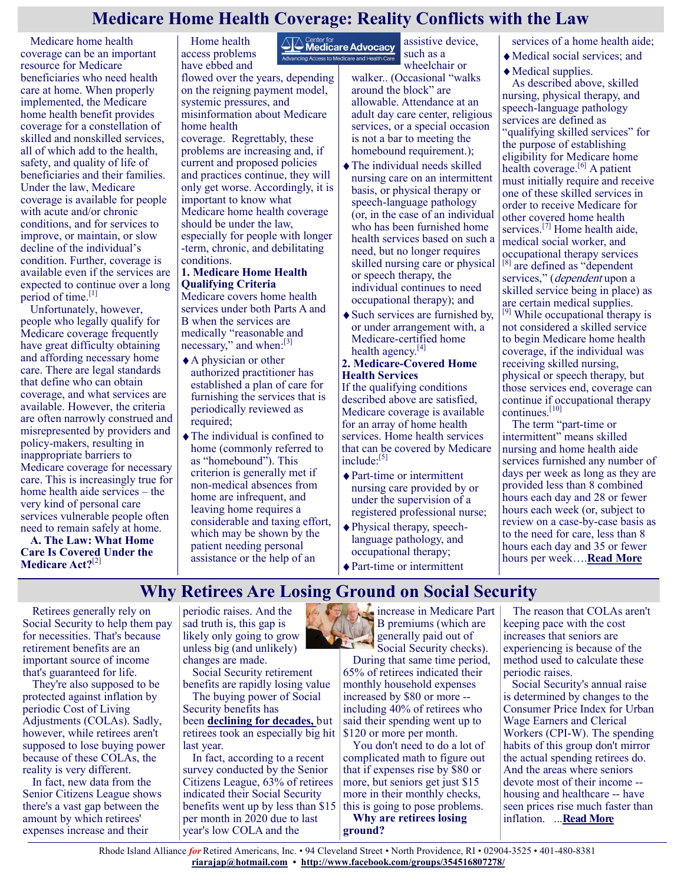#### **Medicare Home Health Coverage: Reality Conflicts with the Law**

Medicare home health coverage can be an important resource for Medicare beneficiaries who need health care at home. When properly implemented, the Medicare home health benefit provides coverage for a constellation of skilled and nonskilled services, all of which add to the health, safety, and quality of life of beneficiaries and their families. Under the law, Medicare coverage is available for people with acute and/or chronic conditions, and for services to improve, or maintain, or slow decline of the individual's condition. Further, coverage is available even if the services are expected to continue over a long period of time.<sup>[\[1\]](https://medicareadvocacy.org/issue-brief-medicare-home-health-coverage-reality-conflicts-with-the-law/#_edn1)</sup>

Unfortunately, however, people who legally qualify for Medicare coverage frequently have great difficulty obtaining and affording necessary home care. There are legal standards that define who can obtain coverage, and what services are available. However, the criteria are often narrowly construed and misrepresented by providers and policy-makers, resulting in inappropriate barriers to Medicare coverage for necessary care. This is increasingly true for home health aide services – the very kind of personal care services vulnerable people often need to remain safely at home.

**A. The Law: What Home Care Is Covered Under the Medicare Act?**[\[2\]](https://medicareadvocacy.org/issue-brief-medicare-home-health-coverage-reality-conflicts-with-the-law/#_edn2)

Home health access problems have ebbed and flowed over the years, depending on the reigning payment model, systemic pressures, and misinformation about Medicare home health

coverage. Regrettably, these problems are increasing and, if current and proposed policies and practices continue, they will only get worse. Accordingly, it is important to know what Medicare home health coverage should be under the law, especially for people with longer -term, chronic, and debilitating conditions.

#### **1. Medicare Home Health Qualifying Criteria**

Medicare covers home health services under both Parts A and B when the services are medically "reasonable and necessary," and when:<sup>[\[3\]](https://medicareadvocacy.org/issue-brief-medicare-home-health-coverage-reality-conflicts-with-the-law/#_edn3)</sup>

- A physician or other authorized practitioner has established a plan of care for furnishing the services that is periodically reviewed as required;
- The individual is confined to home (commonly referred to as "homebound"). This criterion is generally met if non-medical absences from home are infrequent, and leaving home requires a considerable and taxing effort, which may be shown by the patient needing personal assistance or the help of an

**AN** Center for<br>**Medicare Advocacy** assistive device, such as a -<br>Advancing Access to Medicare and Health Care

wheelchair or walker.. (Occasional "walks around the block" are allowable. Attendance at an adult day care center, religious services, or a special occasion is not a bar to meeting the homebound requirement.);

- The individual needs skilled nursing care on an intermittent basis, or physical therapy or speech-language pathology (or, in the case of an individual who has been furnished home health services based on such a need, but no longer requires skilled nursing care or physical or speech therapy, the individual continues to need occupational therapy); and
- Such services are furnished by, or under arrangement with, a Medicare-certified home health agency. $[4]$

#### **2. Medicare-Covered Home Health Services**

If the qualifying conditions described above are satisfied, Medicare coverage is available for an array of home health services. Home health services that can be covered by Medicare include:<sup>[\[5\]](https://medicareadvocacy.org/issue-brief-medicare-home-health-coverage-reality-conflicts-with-the-law/#_edn5)</sup>

- ◆ Part-time or intermittent nursing care provided by or under the supervision of a registered professional nurse;
- Physical therapy, speechlanguage pathology, and occupational therapy;
- Part-time or intermittent

#### services of a home health aide;

- Medical social services; and
- Medical supplies.

As described above, skilled nursing, physical therapy, and speech-language pathology services are defined as "qualifying skilled services" for the purpose of establishing eligibility for Medicare home health coverage. $[6]$  A patient must initially require and receive one of these skilled services in order to receive Medicare for other covered home health services.<sup>[\[7\]](https://medicareadvocacy.org/issue-brief-medicare-home-health-coverage-reality-conflicts-with-the-law/#_edn7)</sup> Home health aide, medical social worker, and occupational therapy services are defined as "dependent services," (*dependent* upon a skilled service being in place) as are certain medical supplies.

<sup>[\[9\]](https://medicareadvocacy.org/issue-brief-medicare-home-health-coverage-reality-conflicts-with-the-law/#_edn9)</sup> While occupational therapy is not considered a skilled service to begin Medicare home health coverage, if the individual was receiving skilled nursing, physical or speech therapy, but those services end, coverage can continue if occupational therapy continues.[\[10\]](https://medicareadvocacy.org/issue-brief-medicare-home-health-coverage-reality-conflicts-with-the-law/#_edn10)

The term "part-time or intermittent" means skilled nursing and home health aide services furnished any number of days per week as long as they are provided less than 8 combined hours each day and 28 or fewer hours each week (or, subject to review on a case-by-case basis as to the need for care, less than 8 hours each day and 35 or fewer hours per week….**[Read More](https://medicareadvocacy.org/issue-brief-medicare-home-health-coverage-reality-conflicts-with-the-law/#_edn4)**

### **Why Retirees Are Losing Ground on Social Security**

Retirees generally rely on Social Security to help them pay for necessities. That's because retirement benefits are an important source of income that's guaranteed for life.

They're also supposed to be protected against inflation by periodic Cost of Living Adjustments (COLAs). Sadly, however, while retirees aren't supposed to lose buying power because of these COLAs, the reality is very different.

In fact, new data from the Senior Citizens League shows there's a vast gap between the amount by which retirees' expenses increase and their

periodic raises. And the sad truth is, this gap is likely only going to grow unless big (and unlikely) changes are made.

Social Security retirement benefits are rapidly losing value

The buying power of Social Security benefits has been **[declining for decades,](https://www.fool.com/retirement/2020/07/15/social-security-benefits-have-lost-30-of-their-val.aspx?utm_source=msnrss&utm_medium=feed&utm_campaign=article&referring_guid=275959c2-5759-4c24-ba13-fc276847f5a3)** but retirees took an especially big hit last year.

In fact, according to a recent survey conducted by the Senior Citizens League, 63% of retirees indicated their Social Security benefits went up by less than \$15 per month in 2020 due to last year's low COLA and the

increase in Medicare Part B premiums (which are generally paid out of Social Security checks).

During that same time period, 65% of retirees indicated their monthly household expenses increased by \$80 or more - including 40% of retirees who said their spending went up to \$120 or more per month.

You don't need to do a lot of complicated math to figure out that if expenses rise by \$80 or more, but seniors get just \$15 more in their monthly checks, this is going to pose problems.

**Why are retirees losing ground?**

The reason that COLAs aren't keeping pace with the cost increases that seniors are experiencing is because of the method used to calculate these periodic raises.

Social Security's annual raise is determined by changes to the Consumer Price Index for Urban Wage Earners and Clerical Workers (CPI-W). The spending habits of this group don't mirror the actual spending retirees do. And the areas where seniors devote most of their income - housing and healthcare -- have seen prices rise much faster than inflation. ...**[Read More](https://www.msn.com/en-us/money/retirement/why-retirees-are-losing-ground-on-social-security/ar-BB1gGUvH?ocid=SK2DDHP)**

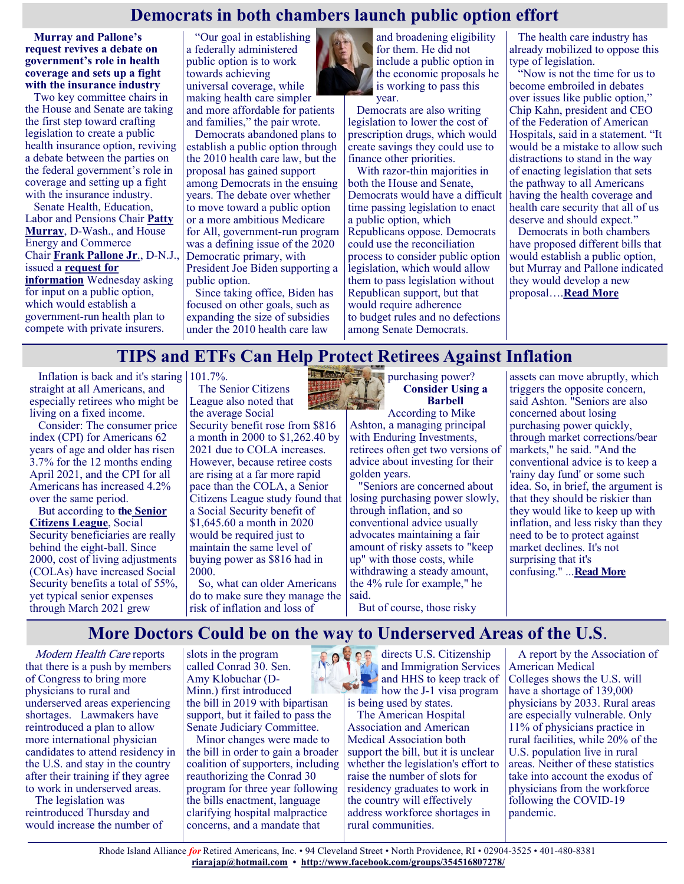#### **Democrats in both chambers launch public option effort**

**Murray and Pallone's request revives a debate on government's role in health coverage and sets up a fight with the insurance industry**

Two key committee chairs in the House and Senate are taking the first step toward crafting legislation to create a public health insurance option, reviving a debate between the parties on the federal government's role in coverage and setting up a fight with the insurance industry.

Senate Health, Education, Labor and Pensions Chair **[Patty](person-ref:522)  [Murray](person-ref:522)**, D-Wash., and House Energy and Commerce Chair **[Frank Pallone Jr](person-ref:320)**., D-N.J., issued a **[request for](https://plus.cq.com/pdf/govdoc-6238380.pdf?0)  [information](https://plus.cq.com/pdf/govdoc-6238380.pdf?0)** Wednesday asking for input on a public option, which would establish a government-run health plan to compete with private insurers.

"Our goal in establishing a federally administered public option is to work towards achieving universal coverage, while making health care simpler and more affordable for patients and families," the pair wrote.

Democrats abandoned plans to establish a public option through the 2010 health care law, but the proposal has gained support among Democrats in the ensuing years. The debate over whether to move toward a public option or a more ambitious Medicare for All, government-run program was a defining issue of the 2020 Democratic primary, with President Joe Biden supporting a public option.

Since taking office, Biden has focused on other goals, such as expanding the size of subsidies under the 2010 health care law



Democrats are also writing legislation to lower the cost of prescription drugs, which would create savings they could use to finance other priorities.

With razor-thin majorities in both the House and Senate, Democrats would have a difficult time passing legislation to enact a public option, which Republicans oppose. Democrats could use the reconciliation process to consider public option legislation, which would allow them to pass legislation without Republican support, but that would require adherence to budget rules and no defections among Senate Democrats.

The health care industry has already mobilized to oppose this type of legislation.

"Now is not the time for us to become embroiled in debates over issues like public option," Chip Kahn, president and CEO of the Federation of American Hospitals, said in a statement. "It would be a mistake to allow such distractions to stand in the way of enacting legislation that sets the pathway to all Americans having the health coverage and health care security that all of us deserve and should expect."

Democrats in both chambers have proposed different bills that would establish a public option, but Murray and Pallone indicated they would develop a new proposal….**[Read More](https://www.rollcall.com/2021/05/26/democrats-in-both-chambers-launch-public-option-effort/)**

#### **TIPS and ETFs Can Help Protect Retirees Against Inflation**

Inflation is back and it's staring 101.7%. straight at all Americans, and especially retirees who might be living on a fixed income.

Consider: The consumer price index (CPI) for Americans 62 years of age and older has risen 3.7% for the 12 months ending April 2021, and the CPI for all Americans has increased 4.2% over the same period.

But according to **the [Senior](https://seniorsleague.org/2021-loss-of-buying-power-study/)  [Citizens League](https://seniorsleague.org/2021-loss-of-buying-power-study/)**, Social Security beneficiaries are really behind the eight-ball. Since 2000, cost of living adjustments (COLAs) have increased Social Security benefits a total of 55%, yet typical senior expenses through March 2021 grew

The Senior Citizens League also noted that the average Social

Security benefit rose from \$816 a month in 2000 to \$1,262.40 by 2021 due to COLA increases. However, because retiree costs are rising at a far more rapid pace than the COLA, a Senior Citizens League study found that a Social Security benefit of \$1,645.60 a month in 2020 would be required just to maintain the same level of buying power as \$816 had in 2000.

So, what can older Americans do to make sure they manage the risk of inflation and loss of



**Consider Using a Barbell**

According to Mike Ashton, a managing principal with Enduring Investments, retirees often get two versions of advice about investing for their golden years.

"Seniors are concerned about losing purchasing power slowly, through inflation, and so conventional advice usually advocates maintaining a fair amount of risky assets to "keep up" with those costs, while withdrawing a steady amount, the 4% rule for example," he said.

But of course, those risky

assets can move abruptly, which triggers the opposite concern, said Ashton. "Seniors are also concerned about losing purchasing power quickly, through market corrections/bear markets," he said. "And the conventional advice is to keep a 'rainy day fund' or some such idea. So, in brief, the argument is that they should be riskier than they would like to keep up with inflation, and less risky than they need to be to protect against market declines. It's not surprising that it's confusing." ...**[Read More](https://www.msn.com/en-us/money/retirement/tips-and-etfs-can-help-protect-retirees-against-inflation/ar-AAKoTRQ?ocid=SK2DDHP)**

#### **More Doctors Could be on the way to Underserved Areas of the U.S**.

Modern Health Care reports that there is a push by members of Congress to bring more physicians to rural and underserved areas experiencing shortages. Lawmakers have reintroduced a plan to allow more international physician candidates to attend residency in the U.S. and stay in the country after their training if they agree to work in underserved areas.

The legislation was reintroduced Thursday and would increase the number of slots in the program called Conrad 30. Sen. Amy Klobuchar (D-Minn.) first introduced the bill in 2019 with bipartisan support, but it failed to pass the Senate Judiciary Committee.

Minor changes were made to the bill in order to gain a broader coalition of supporters, including reauthorizing the Conrad 30 program for three year following the bills enactment, language clarifying hospital malpractice concerns, and a mandate that

ROPER directs U.S. Citizenship and Immigration Services and HHS to keep track of how the J-1 visa program is being used by states.

The American Hospital Association and American Medical Association both support the bill, but it is unclear whether the legislation's effort to raise the number of slots for residency graduates to work in the country will effectively address workforce shortages in rural communities.

A report by the Association of American Medical Colleges shows the U.S. will have a shortage of 139,000 physicians by 2033. Rural areas are especially vulnerable. Only 11% of physicians practice in rural facilities, while 20% of the U.S. population live in rural areas. Neither of these statistics take into account the exodus of physicians from the workforce following the COVID-19 pandemic.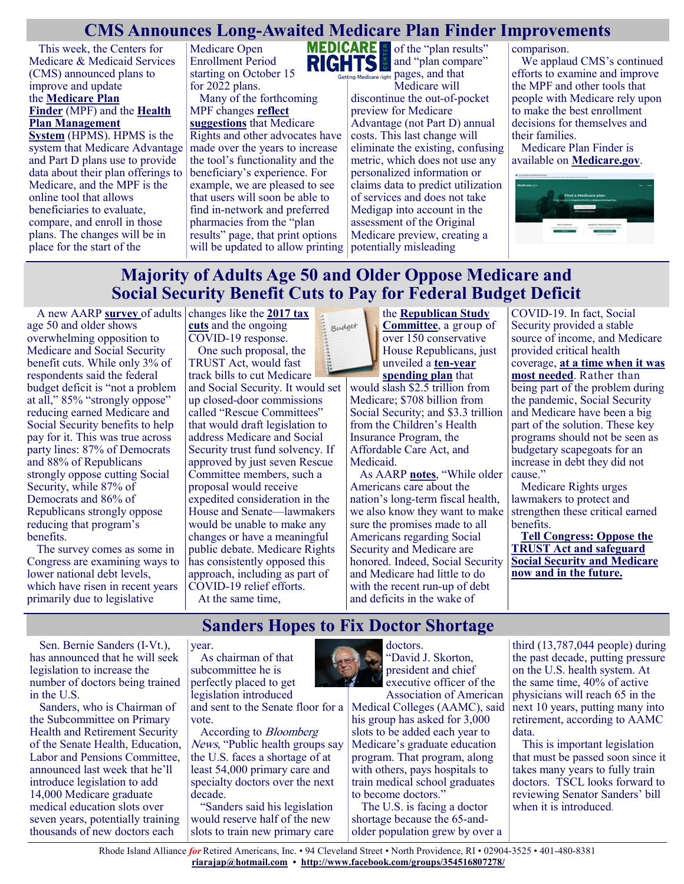#### **CMS Announces Long-Awaited Medicare Plan Finder Improvements**

This week, the Centers for Medicare & Medicaid Services (CMS) announced plans to improve and update the **[Medicare Plan](https://www.medicare.gov/plan-compare/#/?lang=en&year=2021)  [Finder](https://www.medicare.gov/plan-compare/#/?lang=en&year=2021)** (MPF) and the **[Health](https://www.cms.gov/Research-Statistics-Data-and-Systems/Computer-Data-and-Systems/HPMS/Overview)  [Plan Management](https://www.cms.gov/Research-Statistics-Data-and-Systems/Computer-Data-and-Systems/HPMS/Overview)  [System](https://www.cms.gov/Research-Statistics-Data-and-Systems/Computer-Data-and-Systems/HPMS/Overview)** (HPMS). HPMS is the

system that Medicare Advantage and Part D plans use to provide data about their plan offerings to Medicare, and the MPF is the online tool that allows beneficiaries to evaluate, compare, and enroll in those plans. The changes will be in place for the start of the

Medicare Open Enrollment Period starting on October 15 for 2022 plans. Many of the forthcoming

MPF changes **[reflect](https://www.medicarerights.org/policy-documents/comments-2019-medicare-plan-finder-review)  [suggestions](https://www.medicarerights.org/policy-documents/comments-2019-medicare-plan-finder-review)** that Medicare Rights and other advocates have made over the years to increase the tool's functionality and the beneficiary's experience. For example, we are pleased to see that users will soon be able to find in-network and preferred pharmacies from the "plan results" page, that print options will be updated to allow printing potentially misleading



and "plan compare" ng Medicare right pages, and that

Medicare will discontinue the out-of-pocket preview for Medicare Advantage (not Part D) annual costs. This last change will eliminate the existing, confusing metric, which does not use any personalized information or claims data to predict utilization of services and does not take Medigap into account in the assessment of the Original Medicare preview, creating a

comparison.

We applaud CMS's continued efforts to examine and improve the MPF and other tools that people with Medicare rely upon to make the best enrollment decisions for themselves and their families.

Medicare Plan Finder is available on **[Medicare.gov](https://www.medicare.gov/plan-compare/#/?lang=en&year=2021)**.



# **Majority of Adults Age 50 and Older Oppose Medicare and Social Security Benefit Cuts to Pay for Federal Budget Deficit**

A new AARP **[survey](https://www.aarp.org/politics-society/advocacy/info-2021/survey-social-security-medicare-cuts.html)** of adults changes like the **2017 tax** age 50 and older shows overwhelming opposition to Medicare and Social Security benefit cuts. While only 3% of respondents said the federal budget deficit is "not a problem at all," 85% "strongly oppose" reducing earned Medicare and Social Security benefits to help pay for it. This was true across party lines: 87% of Democrats and 88% of Republicans strongly oppose cutting Social Security, while 87% of Democrats and 86% of Republicans strongly oppose reducing that program's benefits.

The survey comes as some in Congress are examining ways to lower national debt levels, which have risen in recent years primarily due to legislative

**[cuts](https://www.reuters.com/article/us-usa-fiscal-deficit/republican-tax-cuts-to-fuel-historic-u-s-deficits-cbo-idUSKBN1HG2RW)** and the ongoing COVID-19 response. One such proposal, the TRUST Act, would fast track bills to cut Medicare and Social Security. It would set up closed-door commissions called "Rescue Committees" that would draft legislation to address Medicare and Social Security trust fund solvency. If approved by just seven Rescue Committee members, such a proposal would receive expedited consideration in the

House and Senate—lawmakers would be unable to make any changes or have a meaningful public debate. Medicare Rights has consistently opposed this approach, including as part of COVID-19 relief efforts. At the same time,



the **[Republican Study](https://rsc-banks.house.gov/)  [Committee](https://rsc-banks.house.gov/)**, a group of over 150 conservative House Republicans, just unveiled a **ten-[year](https://banks.house.gov/uploadedfiles/budget_fy22_final.pdf)  [spending plan](https://banks.house.gov/uploadedfiles/budget_fy22_final.pdf)** that

would slash \$2.5 trillion from Medicare; \$708 billion from Social Security; and \$3.3 trillion from the Children's Health Insurance Program, the Affordable Care Act, and Medicaid.

As AARP **[notes](https://www.aarp.org/research/topics/economics/info-2021/social-security-medicare-budget-deficit.html)**, "While older Americans care about the nation's long-term fiscal health, we also know they want to make sure the promises made to all Americans regarding Social Security and Medicare are honored. Indeed, Social Security and Medicare had little to do with the recent run-up of debt and deficits in the wake of

COVID-19. In fact, Social Security provided a stable source of income, and Medicare provided critical health coverage, **[at a time when it was](https://www.aarp.org/health/conditions-treatments/info-2020/coronavirus-facts.html)  [most needed](https://www.aarp.org/health/conditions-treatments/info-2020/coronavirus-facts.html)**. Rather than being part of the problem during the pandemic, Social Security and Medicare have been a big part of the solution. These key programs should not be seen as budgetary scapegoats for an increase in debt they did not cause."

Medicare Rights urges lawmakers to protect and strengthen these critical earned benefits.

**[Tell Congress: Oppose the](https://action.aarp.org/secure/social-security-trust-act)  [TRUST Act and safeguard](https://action.aarp.org/secure/social-security-trust-act)  [Social Security and Medicare](https://action.aarp.org/secure/social-security-trust-act)  [now and in the future.](https://action.aarp.org/secure/social-security-trust-act)**

### **Sanders Hopes to Fix Doctor Shortage**

Sen. Bernie Sanders (I-Vt.), has announced that he will seek legislation to increase the number of doctors being trained

in the U.S. Sanders, who is Chairman of the Subcommittee on Primary Health and Retirement Security of the Senate Health, Education, Labor and Pensions Committee, announced last week that he'll introduce legislation to add 14,000 Medicare graduate medical education slots over seven years, potentially training thousands of new doctors each

year.

As chairman of that subcommittee he is perfectly placed to get legislation introduced

and sent to the Senate floor for a vote.

According to Bloomberg News, "Public health groups say the U.S. faces a shortage of at least 54,000 primary care and specialty doctors over the next decade.

"Sanders said his legislation would reserve half of the new slots to train new primary care



"David J. Skorton, president and chief executive officer of the Association of American

Medical Colleges (AAMC), said his group has asked for 3,000 slots to be added each year to Medicare's graduate education program. That program, along with others, pays hospitals to train medical school graduates to become doctors."

The U.S. is facing a doctor shortage because the 65-andolder population grew by over a

third (13,787,044 people) during the past decade, putting pressure on the U.S. health system. At the same time, 40% of active physicians will reach 65 in the next 10 years, putting many into retirement, according to AAMC data.

This is important legislation that must be passed soon since it takes many years to fully train doctors. TSCL looks forward to reviewing Senator Sanders' bill when it is introduced.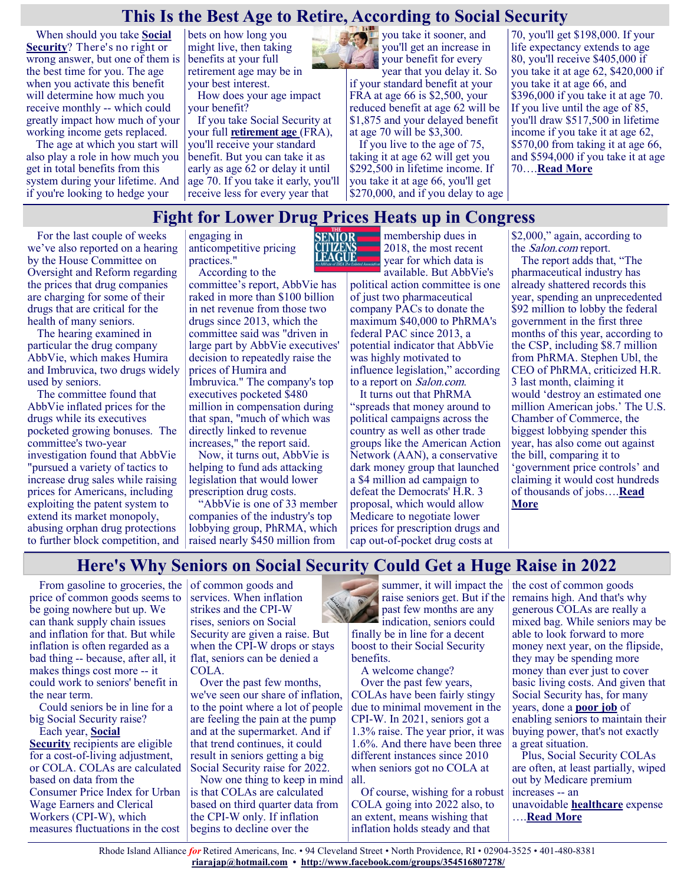#### **This Is the Best Age to Retire, According to Social Security**

When should you take **[Social](https://www.fool.com/retirement/social-security/?utm_source=msnrss&utm_medium=feed&utm_campaign=article&referring_guid=fda838aa-44a4-4b6c-8b92-2473ce2c5ada)  [Security](https://www.fool.com/retirement/social-security/?utm_source=msnrss&utm_medium=feed&utm_campaign=article&referring_guid=fda838aa-44a4-4b6c-8b92-2473ce2c5ada)**? There's no right or wrong answer, but one of them is the best time for you. The age when you activate this benefit will determine how much you receive monthly -- which could greatly impact how much of your working income gets replaced.

The age at which you start will also play a role in how much you get in total benefits from this system during your lifetime. And if you're looking to hedge your

bets on how long you might live, then taking benefits at your full retirement age may be in your best interest.

How does your age impact your benefit?

If you take Social Security at your full **[retirement age](https://www.fool.com/retirement/social-security/full-retirement-age/?utm_source=msnrss&utm_medium=feed&utm_campaign=article&referring_guid=fda838aa-44a4-4b6c-8b92-2473ce2c5ada)** (FRA), you'll receive your standard benefit. But you can take it as early as age 62 or delay it until age 70. If you take it early, you'll receive less for every year that



year that you delay it. So if your standard benefit at your FRA at age 66 is \$2,500, your reduced benefit at age 62 will be \$1,875 and your delayed benefit at age 70 will be \$3,300.

If you live to the age of 75, taking it at age 62 will get you \$292,500 in lifetime income. If you take it at age 66, you'll get \$270,000, and if you delay to age

70, you'll get \$198,000. If your life expectancy extends to age 80, you'll receive \$405,000 if you take it at age 62, \$420,000 if you take it at age 66, and \$396,000 if you take it at age 70. If you live until the age of 85, you'll draw \$517,500 in lifetime income if you take it at age 62, \$570,00 from taking it at age 66, and \$594,000 if you take it at age 70….**[Read More](https://www.msn.com/en-us/money/retirement/this-is-the-best-age-to-retire-according-to-social-security/ar-AAKwMHv?ocid=SK2DDHP)**

### **Fight for Lower Drug Prices Heats up in Congress**

**EAGUE** 

For the last couple of weeks we've also reported on a hearing by the House Committee on Oversight and Reform regarding the prices that drug companies are charging for some of their drugs that are critical for the health of many seniors.

The hearing examined in particular the drug company AbbVie, which makes Humira and Imbruvica, two drugs widely used by seniors.

The committee found that AbbVie inflated prices for the drugs while its executives pocketed growing bonuses. The committee's two-year investigation found that AbbVie "pursued a variety of tactics to increase drug sales while raising prices for Americans, including exploiting the patent system to extend its market monopoly, abusing orphan drug protections to further block competition, and

engaging in anticompetitive pricing practices." According to the

committee's report, AbbVie has raked in more than \$100 billion in net revenue from those two drugs since 2013, which the committee said was "driven in large part by AbbVie executives' decision to repeatedly raise the prices of Humira and Imbruvica." The company's top executives pocketed \$480 million in compensation during that span, "much of which was directly linked to revenue

increases," the report said. Now, it turns out, AbbVie is helping to fund ads attacking legislation that would lower prescription drug costs.

"AbbVie is one of 33 member companies of the industry's top lobbying group, PhRMA, which raised nearly \$450 million from

**SENIOR** membership dues in 2018, the most recent year for which data is available. But AbbVie's

political action committee is one of just two pharmaceutical company PACs to donate the maximum \$40,000 to PhRMA's federal PAC since 2013, a potential indicator that AbbVie was highly motivated to influence legislation," according to a report on Salon.com.

It turns out that PhRMA "spreads that money around to political campaigns across the country as well as other trade groups like the American Action Network (AAN), a conservative dark money group that launched a \$4 million ad campaign to defeat the Democrats' H.R. 3 proposal, which would allow Medicare to negotiate lower prices for prescription drugs and cap out-of-pocket drug costs at

\$2,000," again, according to the Salon.com report.

The report adds that, "The pharmaceutical industry has already shattered records this year, spending an unprecedented \$92 million to lobby the federal government in the first three months of this year, according to the CSP, including \$8.7 million from PhRMA. Stephen Ubl, the CEO of PhRMA, criticized H.R. 3 last month, claiming it would 'destroy an estimated one million American jobs.' The U.S. Chamber of Commerce, the biggest lobbying spender this year, has also come out against the bill, comparing it to 'government price controls' and claiming it would cost hundreds of thousands of jobs….**[Read](https://seniorsleague.org/update-for-may-29-2021/)  [More](https://seniorsleague.org/update-for-may-29-2021/)**

#### **Here's Why Seniors on Social Security Could Get a Huge Raise in 2022**

From gasoline to groceries, the price of common goods seems to be going nowhere but up. We can thank supply chain issues and inflation for that. But while inflation is often regarded as a bad thing -- because, after all, it makes things cost more -- it could work to seniors' benefit in the near term.

Could seniors be in line for a big Social Security raise? Each year, **[Social](https://www.fool.com/retirement/social-security/?utm_source=msnrss&utm_medium=feed&utm_campaign=article&referring_guid=74056c5e-a990-409d-9587-762d90e2ef15)** 

**[Security](https://www.fool.com/retirement/social-security/?utm_source=msnrss&utm_medium=feed&utm_campaign=article&referring_guid=74056c5e-a990-409d-9587-762d90e2ef15)** recipients are eligible for a cost-of-living adjustment, or COLA. COLAs are calculated based on data from the Consumer Price Index for Urban Wage Earners and Clerical Workers (CPI-W), which measures fluctuations in the cost

of common goods and services. When inflation strikes and the CPI-W rises, seniors on Social Security are given a raise. But when the CPI-W drops or stays flat, seniors can be denied a COLA.

Over the past few months, we've seen our share of inflation, to the point where a lot of people are feeling the pain at the pump and at the supermarket. And if that trend continues, it could result in seniors getting a big Social Security raise for 2022.

Now one thing to keep in mind is that COLAs are calculated based on third quarter data from the CPI-W only. If inflation begins to decline over the



raise seniors get. But if the past few months are any indication, seniors could

finally be in line for a decent boost to their Social Security benefits.

A welcome change?

Over the past few years, COLAs have been fairly stingy due to minimal movement in the CPI-W. In 2021, seniors got a 1.3% raise. The year prior, it was 1.6%. And there have been three different instances since 2010 when seniors got no COLA at all.

Of course, wishing for a robust COLA going into 2022 also, to an extent, means wishing that inflation holds steady and that

summer, it will impact the  $\vert$  the cost of common goods remains high. And that's why generous COLAs are really a mixed bag. While seniors may be able to look forward to more money next year, on the flipside, they may be spending more money than ever just to cover basic living costs. And given that Social Security has, for many years, done a **[poor job](https://www.fool.com/retirement/2020/05/17/social-security-benefits-have-lost-30-of-their-buy.aspx?utm_source=msnrss&utm_medium=feed&utm_campaign=article&referring_guid=74056c5e-a990-409d-9587-762d90e2ef15)** of enabling seniors to maintain their buying power, that's not exactly a great situation.

Plus, Social Security COLAs are often, at least partially, wiped out by Medicare premium increases -- an unavoidable **[healthcare](https://www.fool.com/retirement/2021/05/27/americans-expect-to-spend-40-of-their-retirement-s/?utm_source=msnrss&utm_medium=feed&utm_campaign=article&referring_guid=74056c5e-a990-409d-9587-762d90e2ef15)** expense ….**[Read More](https://www.msn.com/en-us/money/retirement/here-s-why-seniors-on-social-security-could-get-a-huge-raise-in-2022/ar-AAKyRtg?ocid=SK2DDHP)**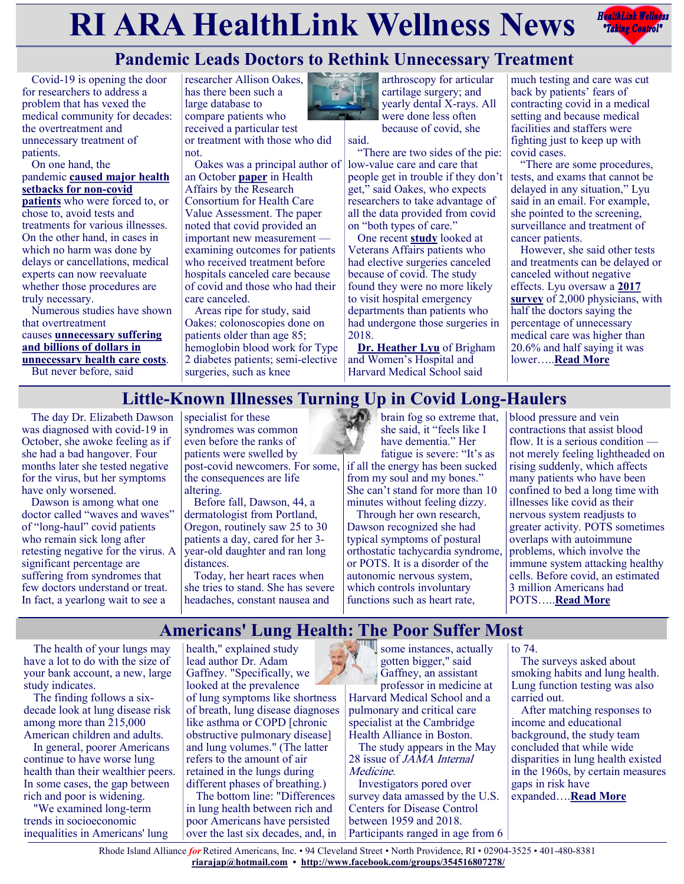# **RIARA HealthLink Wellness News** *Redistribles*



# **Pandemic Leads Doctors to Rethink Unnecessary Treatment**

Covid-19 is opening the door for researchers to address a problem that has vexed the medical community for decades: the overtreatment and unnecessary treatment of patients.

#### On one hand, the pandemic **[caused major health](https://khn.org/news/article/from-rotten-teeth-to-advanced-cancer-patients-feel-the-effects-of-treatment-delays/)  [setbacks for non](https://khn.org/news/article/from-rotten-teeth-to-advanced-cancer-patients-feel-the-effects-of-treatment-delays/)-covid**

**[patients](https://khn.org/news/article/from-rotten-teeth-to-advanced-cancer-patients-feel-the-effects-of-treatment-delays/)** who were forced to, or chose to, avoid tests and treatments for various illnesses. On the other hand, in cases in which no harm was done by delays or cancellations, medical experts can now reevaluate whether those procedures are truly necessary.

Numerous studies have shown that overtreatment causes **[unnecessary suffering](https://khn.org/news/tag/treatment-overkill/)  [and billions of dollars in](https://khn.org/news/tag/treatment-overkill/)  [unnecessary health care costs](https://khn.org/news/tag/treatment-overkill/)**. But never before, said

researcher Allison Oakes, has there been such a large database to compare patients who received a particular test or treatment with those who did not.

Oakes was a principal author of an October **[paper](https://www.healthaffairs.org/do/10.1377/hblog20201023.522078/full/)** in Health Affairs by the Research Consortium for Health Care Value Assessment. The paper noted that covid provided an important new measurement examining outcomes for patients who received treatment before hospitals canceled care because of covid and those who had their care canceled.

Areas ripe for study, said Oakes: colonoscopies done on patients older than age 85; hemoglobin blood work for Type 2 diabetes patients; semi-elective surgeries, such as knee



cartilage surgery; and yearly dental X-rays. All were done less often because of covid, she said.

"There are two sides of the pie: low-value care and care that people get in trouble if they don't get," said Oakes, who expects researchers to take advantage of all the data provided from covid on "both types of care."

One recent **[study](https://pubmed.ncbi.nlm.nih.gov/33630440/)** looked at Veterans Affairs patients who had elective surgeries canceled because of covid. The study found they were no more likely to visit hospital emergency departments than patients who had undergone those surgeries in 2018.

**[Dr. Heather Lyu](https://dbmi.hms.harvard.edu/people/heather-lyu)** of Brigham and Women's Hospital and Harvard Medical School said

much testing and care was cut back by patients' fears of contracting covid in a medical setting and because medical facilities and staffers were fighting just to keep up with covid cases.

"There are some procedures, tests, and exams that cannot be delayed in any situation," Lyu said in an email. For example, she pointed to the screening, surveillance and treatment of cancer patients.

However, she said other tests and treatments can be delayed or canceled without negative effects. Lyu oversaw a **[2017](https://www.ncbi.nlm.nih.gov/pmc/articles/PMC5587107/)  [survey](https://www.ncbi.nlm.nih.gov/pmc/articles/PMC5587107/)** of 2,000 physicians, with half the doctors saying the percentage of unnecessary medical care was higher than 20.6% and half saying it was lower…..**[Read More](https://khn.org/news/article/pandemic-leads-doctors-to-rethink-unnecessary-treatment/)**

## **Little-Known Illnesses Turning Up in Covid Long-Haulers**

The day Dr. Elizabeth Dawson  $|$  specialist for these was diagnosed with covid-19 in October, she awoke feeling as if she had a bad hangover. Four months later she tested negative for the virus, but her symptoms have only worsened.

Dawson is among what one doctor called "waves and waves" of "long-haul" covid patients who remain sick long after retesting negative for the virus. A significant percentage are suffering from syndromes that few doctors understand or treat. In fact, a yearlong wait to see a

syndromes was common even before the ranks of patients were swelled by post-covid newcomers. For some, the consequences are life altering.

Before fall, Dawson, 44, a dermatologist from Portland, Oregon, routinely saw 25 to 30 patients a day, cared for her 3 year-old daughter and ran long distances.

Today, her heart races when she tries to stand. She has severe headaches, constant nausea and

brain fog so extreme that, blood pressure and vein she said, it "feels like I have dementia." Her fatigue is severe: "It's as

if all the energy has been sucked from my soul and my bones." She can't stand for more than 10 minutes without feeling dizzy.

Through her own research, Dawson recognized she had typical symptoms of postural orthostatic tachycardia syndrome, or POTS. It is a disorder of the autonomic nervous system, which controls involuntary functions such as heart rate,

contractions that assist blood flow. It is a serious condition not merely feeling lightheaded on rising suddenly, which affects many patients who have been confined to bed a long time with illnesses like covid as their nervous system readjusts to greater activity. POTS sometimes overlaps with autoimmune problems, which involve the immune system attacking healthy cells. Before covid, an estimated 3 million Americans had POTS…..**[Read More](https://khn.org/news/article/covid-long-haul-illness-pots-autonomic-disorder/)**

### **Americans' Lung Health: The Poor Suffer Most**

The health of your lungs may have a lot to do with the size of your bank account, a new, large study indicates.

The finding follows a sixdecade look at lung disease risk among more than 215,000 American children and adults.

In general, poorer Americans continue to have worse lung health than their wealthier peers. In some cases, the gap between rich and poor is widening.

"We examined long-term trends in socioeconomic inequalities in Americans' lung health," explained study lead author Dr. Adam Gaffney. "Specifically, we looked at the prevalence of lung symptoms like shortness of breath, lung disease diagnoses like asthma or COPD [chronic obstructive pulmonary disease] and lung volumes." (The latter refers to the amount of air retained in the lungs during different phases of breathing.)

The bottom line: "Differences in lung health between rich and poor Americans have persisted over the last six decades, and, in

some instances, actually gotten bigger," said Gaffney, an assistant professor in medicine at Harvard Medical School and a pulmonary and critical care

specialist at the Cambridge Health Alliance in Boston.

The study appears in the May 28 issue of *JAMA Internal* Medicine.

Investigators pored over survey data amassed by the U.S. Centers for Disease Control between 1959 and 2018. Participants ranged in age from 6 to 74.

The surveys asked about smoking habits and lung health. Lung function testing was also carried out.

After matching responses to income and educational background, the study team concluded that while wide disparities in lung health existed in the 1960s, by certain measures gaps in risk have expanded….**[Read More](https://consumer.healthday.com/6-1-americans-lung-health-is-getting-worse-and-the-poor-suffer-most-2653124543.html)**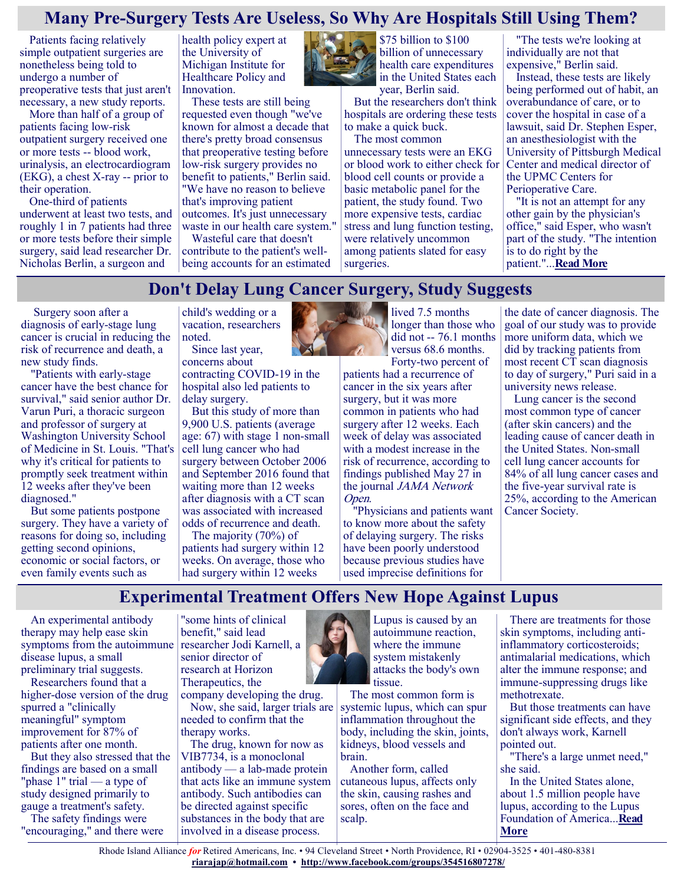#### **Many Pre-Surgery Tests Are Useless, So Why Are Hospitals Still Using Them?**

Patients facing relatively simple outpatient surgeries are nonetheless being told to undergo a number of preoperative tests that just aren't necessary, a new study reports.

More than half of a group of patients facing low-risk outpatient surgery received one or more tests -- blood work, urinalysis, an electrocardiogram (EKG), a chest X-ray -- prior to their operation.

One-third of patients underwent at least two tests, and roughly 1 in 7 patients had three or more tests before their simple surgery, said lead researcher Dr. Nicholas Berlin, a surgeon and

health policy expert at the University of Michigan Institute for Healthcare Policy and Innovation.

These tests are still being requested even though "we've known for almost a decade that there's pretty broad consensus that preoperative testing before low-risk surgery provides no benefit to patients," Berlin said. "We have no reason to believe that's improving patient outcomes. It's just unnecessary

waste in our health care system." Wasteful care that doesn't

contribute to the patient's wellbeing accounts for an estimated



\$75 billion to \$100 billion of unnecessary health care expenditures in the United States each year, Berlin said.

But the researchers don't think hospitals are ordering these tests to make a quick buck.

The most common unnecessary tests were an EKG or blood work to either check for blood cell counts or provide a basic metabolic panel for the patient, the study found. Two more expensive tests, cardiac stress and lung function testing, were relatively uncommon among patients slated for easy surgeries.

"The tests we're looking at individually are not that expensive," Berlin said.

Instead, these tests are likely being performed out of habit, an overabundance of care, or to cover the hospital in case of a lawsuit, said Dr. Stephen Esper, an anesthesiologist with the University of Pittsburgh Medical Center and medical director of the UPMC Centers for Perioperative Care.

"It is not an attempt for any other gain by the physician's office," said Esper, who wasn't part of the study. "The intention is to do right by the patient."...**[Read More](https://consumer.healthday.com/5-25-many-pre-surgery-tests-are-useless-so-why-are-hospitals-still-using-them-2653036967.html)**

### **Don't Delay Lung Cancer Surgery, Study Suggests**

Surgery soon after a diagnosis of early-stage lung cancer is crucial in reducing the risk of recurrence and death, a new study finds.

"Patients with early-stage cancer have the best chance for survival," said senior author Dr. Varun Puri, a thoracic surgeon and professor of surgery at Washington University School of Medicine in St. Louis. "That's why it's critical for patients to promptly seek treatment within 12 weeks after they've been diagnosed."

But some patients postpone surgery. They have a variety of reasons for doing so, including getting second opinions, economic or social factors, or even family events such as

child's wedding or a vacation, researchers noted.

Since last year, concerns about contracting COVID-19 in the hospital also led patients to delay surgery.

But this study of more than 9,900 U.S. patients (average age: 67) with stage 1 non-small cell lung cancer who had surgery between October 2006 and September 2016 found that waiting more than 12 weeks after diagnosis with a CT scan was associated with increased odds of recurrence and death.

The majority (70%) of patients had surgery within 12 weeks. On average, those who had surgery within 12 weeks



lived 7.5 months longer than those who did not -- 76.1 months versus 68.6 months. Forty-two percent of

patients had a recurrence of cancer in the six years after surgery, but it was more common in patients who had surgery after 12 weeks. Each week of delay was associated with a modest increase in the risk of recurrence, according to findings published May 27 in the journal *JAMA Network* Open.

"Physicians and patients want to know more about the safety of delaying surgery. The risks have been poorly understood because previous studies have used imprecise definitions for

the date of cancer diagnosis. The goal of our study was to provide more uniform data, which we did by tracking patients from most recent CT scan diagnosis to day of surgery," Puri said in a university news release.

Lung cancer is the second most common type of cancer (after skin cancers) and the leading cause of cancer death in the United States. Non-small cell lung cancer accounts for 84% of all lung cancer cases and the five-year survival rate is 25%, according to the American Cancer Society.

#### **Experimental Treatment Offers New Hope Against Lupus**

An experimental antibody therapy may help ease skin symptoms from the autoimmune disease lupus, a small preliminary trial suggests.

Researchers found that a higher-dose version of the drug spurred a "clinically meaningful" symptom improvement for 87% of patients after one month.

But they also stressed that the findings are based on a small "phase 1" trial — a type of study designed primarily to gauge a treatment's safety.

The safety findings were "encouraging," and there were

"some hints of clinical benefit," said lead researcher Jodi Karnell, a senior director of research at Horizon Therapeutics, the

company developing the drug. Now, she said, larger trials are needed to confirm that the therapy works.

The drug, known for now as VIB7734, is a monoclonal antibody — a lab-made protein that acts like an immune system antibody. Such antibodies can be directed against specific substances in the body that are involved in a disease process.

Lupus is caused by an autoimmune reaction, where the immune system mistakenly attacks the body's own tissue.

The most common form is systemic lupus, which can spur inflammation throughout the body, including the skin, joints, kidneys, blood vessels and brain.

Another form, called cutaneous lupus, affects only the skin, causing rashes and sores, often on the face and scalp.

There are treatments for those skin symptoms, including antiinflammatory corticosteroids; antimalarial medications, which alter the immune response; and immune-suppressing drugs like methotrexate.

But those treatments can have significant side effects, and they don't always work, Karnell pointed out.

"There's a large unmet need," she said.

In the United States alone, about 1.5 million people have lupus, according to the Lupus Foundation of America...**[Read](https://consumer.healthday.com/5-27-experimental-treatment-offers-new-hope-against-lupus-2653092202.html)  [More](https://consumer.healthday.com/5-27-experimental-treatment-offers-new-hope-against-lupus-2653092202.html)**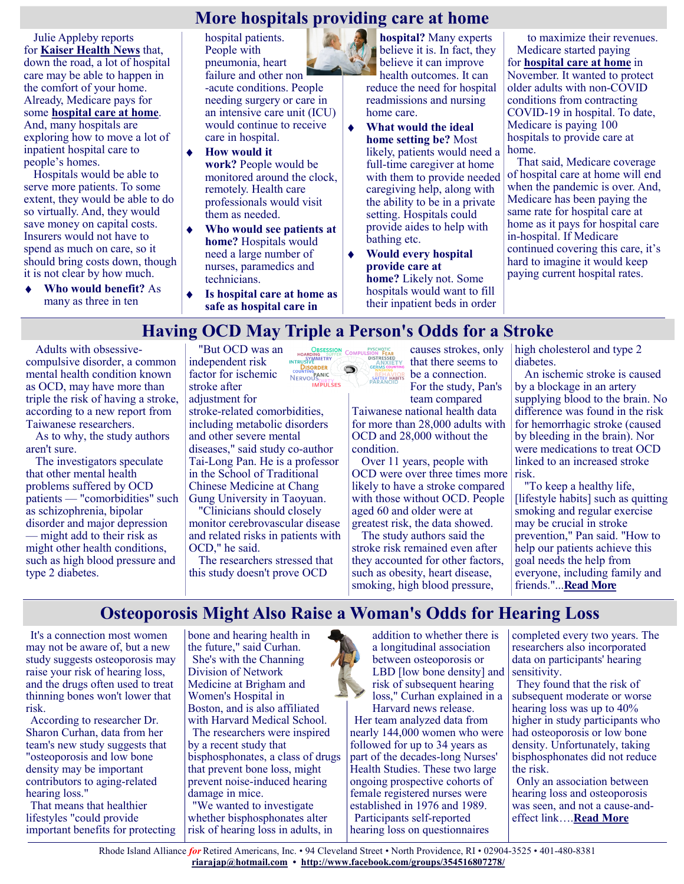#### **More hospitals providing care at home**

Julie Appleby reports for **[Kaiser Health News](https://khn.org/news/article/is-your-living-room-the-future-of-hospital-care/)** that, down the road, a lot of hospital care may be able to happen in the comfort of your home. Already, Medicare pays for some **[hospital care at home](https://justcareusa.org/coronavirus-medicare-covers-hospital-care-at-home/)**. And, many hospitals are exploring how to move a lot of inpatient hospital care to people's homes.

Hospitals would be able to serve more patients. To some extent, they would be able to do so virtually. And, they would save money on capital costs. Insurers would not have to spend as much on care, so it should bring costs down, though it is not clear by how much.

**Who would benefit?** As many as three in ten

hospital patients. People with pneumonia, heart failure and other non -acute conditions. People needing surgery or care in an intensive care unit (ICU) would continue to receive care in hospital.

- **How would it work?** People would be monitored around the clock, remotely. Health care professionals would visit them as needed.
- **Who would see patients at home?** Hospitals would need a large number of nurses, paramedics and technicians.
- **Is hospital care at home as safe as hospital care in**

**hospital?** Many experts believe it is. In fact, they believe it can improve health outcomes. It can reduce the need for hospital readmissions and nursing home care.

- **What would the ideal**   $\hat{\bullet}$ **home setting be?** Most likely, patients would need a full-time caregiver at home with them to provide needed caregiving help, along with the ability to be in a private setting. Hospitals could provide aides to help with bathing etc.
- **Would every hospital**   $\bullet$ **provide care at home?** Likely not. Some hospitals would want to fill their inpatient beds in order

to maximize their revenues. Medicare started paying for **[hospital care at home](https://justcareusa.org/coronavirus-medicare-covers-hospital-care-at-home/)** in November. It wanted to protect older adults with non-COVID conditions from contracting COVID-19 in hospital. To date, Medicare is paying 100 hospitals to provide care at home.

That said, Medicare coverage of hospital care at home will end when the pandemic is over. And, Medicare has been paying the same rate for hospital care at home as it pays for hospital care in-hospital. If Medicare continued covering this care, it's hard to imagine it would keep paying current hospital rates.

# **Having OCD May Triple a Person's Odds for a Stroke**

Adults with obsessivecompulsive disorder, a common mental health condition known as OCD, may have more than triple the risk of having a stroke, according to a new report from Taiwanese researchers.

As to why, the study authors aren't sure.

The investigators speculate that other mental health problems suffered by OCD patients — "comorbidities" such as schizophrenia, bipolar disorder and major depression — might add to their risk as might other health conditions, such as high blood pressure and type 2 diabetes.

"But OCD was an independent risk factor for ischemic stroke after adjustment for

stroke-related comorbidities, including metabolic disorders and other severe mental diseases," said study co-author Tai-Long Pan. He is a professor in the School of Traditional Chinese Medicine at Chang Gung University in Taoyuan.

"Clinicians should closely monitor cerebrovascular disease and related risks in patients with OCD," he said.

The researchers stressed that this study doesn't prove OCD



causes strokes, only that there seems to be a connection. For the study, Pan's

team compared Taiwanese national health data for more than 28,000 adults with OCD and 28,000 without the condition.

Over 11 years, people with OCD were over three times more likely to have a stroke compared with those without OCD. People aged 60 and older were at greatest risk, the data showed.

The study authors said the stroke risk remained even after they accounted for other factors, such as obesity, heart disease, smoking, high blood pressure,

high cholesterol and type 2 diabetes.

An ischemic stroke is caused by a blockage in an artery supplying blood to the brain. No difference was found in the risk for hemorrhagic stroke (caused by bleeding in the brain). Nor were medications to treat OCD linked to an increased stroke risk.

"To keep a healthy life, [lifestyle habits] such as quitting smoking and regular exercise may be crucial in stroke prevention," Pan said. "How to help our patients achieve this goal needs the help from everyone, including family and friends."...**[Read More](https://consumer.healthday.com/5-27-having-ocd-triples-a-persons-odds-for-a-stroke-2653092315.html)**

### **Osteoporosis Might Also Raise a Woman's Odds for Hearing Loss**

It's a connection most women may not be aware of, but a new study suggests osteoporosis may raise your risk of hearing loss, and the drugs often used to treat thinning bones won't lower that risk.

According to researcher Dr. Sharon Curhan, data from her team's new study suggests that "osteoporosis and low bone density may be important contributors to aging-related hearing loss."

That means that healthier lifestyles "could provide important benefits for protecting bone and hearing health in the future," said Curhan. She's with the Channing Division of Network Medicine at Brigham and Women's Hospital in Boston, and is also affiliated with Harvard Medical School.

The researchers were inspired by a recent study that bisphosphonates, a class of drugs that prevent bone loss, might prevent noise-induced hearing damage in mice.

"We wanted to investigate whether bisphosphonates alter risk of hearing loss in adults, in

addition to whether there is a longitudinal association between osteoporosis or LBD [low bone density] and risk of subsequent hearing loss," Curhan explained in a

Harvard news release. Her team analyzed data from nearly 144,000 women who were followed for up to 34 years as part of the decades-long Nurses' Health Studies. These two large ongoing prospective cohorts of female registered nurses were established in 1976 and 1989. Participants self-reported hearing loss on questionnaires

completed every two years. The researchers also incorporated data on participants' hearing sensitivity.

They found that the risk of subsequent moderate or worse hearing loss was up to 40% higher in study participants who had osteoporosis or low bone density. Unfortunately, taking bisphosphonates did not reduce the risk.

Only an association between hearing loss and osteoporosis was seen, and not a cause-andeffect link….**[Read More](https://www.usnews.com/news/health-news/articles/2021-05-26/osteoporosis-might-also-raise-a-womans-odds-for-hearing-loss)**